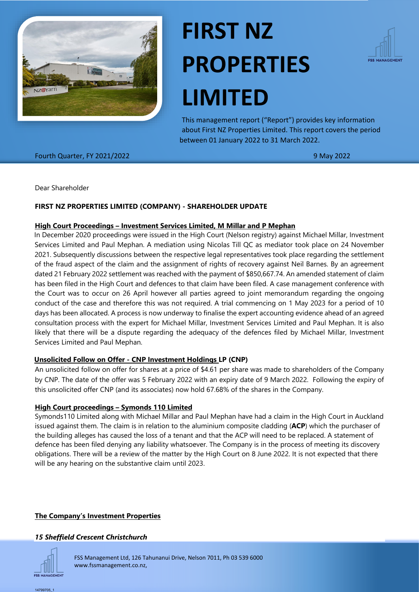

# **FIRST NZ PROPERTIES LIMITED**



This management report ("Report") provides key information about First NZ Properties Limited. This report covers the period between 01 January 2022 to 31 March 2022.

Fourth Quarter, FY 2021/2022 9 May 2022

Dear Shareholder

## **FIRST NZ PROPERTIES LIMITED (COMPANY) - SHAREHOLDER UPDATE**

#### **High Court Proceedings – Investment Services Limited, M Millar and P Mephan**

In December 2020 proceedings were issued in the High Court (Nelson registry) against Michael Millar, Investment Services Limited and Paul Mephan. A mediation using Nicolas Till QC as mediator took place on 24 November 2021. Subsequently discussions between the respective legal representatives took place regarding the settlement of the fraud aspect of the claim and the assignment of rights of recovery against Neil Barnes. By an agreement dated 21 February 2022 settlement was reached with the payment of \$850,667.74. An amended statement of claim has been filed in the High Court and defences to that claim have been filed. A case management conference with the Court was to occur on 26 April however all parties agreed to joint memorandum regarding the ongoing conduct of the case and therefore this was not required. A trial commencing on 1 May 2023 for a period of 10 days has been allocated. A process is now underway to finalise the expert accounting evidence ahead of an agreed consultation process with the expert for Michael Millar, Investment Services Limited and Paul Mephan. It is also likely that there will be a dispute regarding the adequacy of the defences filed by Michael Millar, Investment Services Limited and Paul Mephan.

## **Unsolicited Follow on Offer - CNP Investment Holdings LP (CNP)**

An unsolicited follow on offer for shares at a price of \$4.61 per share was made to shareholders of the Company by CNP. The date of the offer was 5 February 2022 with an expiry date of 9 March 2022. Following the expiry of this unsolicited offer CNP (and its associates) now hold 67.68% of the shares in the Company.

## **High Court proceedings – Symonds 110 Limited**

Symonds110 Limited along with Michael Millar and Paul Mephan have had a claim in the High Court in Auckland issued against them. The claim is in relation to the aluminium composite cladding (**ACP**) which the purchaser of the building alleges has caused the loss of a tenant and that the ACP will need to be replaced. A statement of defence has been filed denying any liability whatsoever. The Company is in the process of meeting its discovery obligations. There will be a review of the matter by the High Court on 8 June 2022. It is not expected that there will be any hearing on the substantive claim until 2023.

## **The Company's Investment Properties**

#### *15 Sheffield Crescent Christchurch*



FSS Management Ltd, 126 Tahunanui Drive, Nelson 7011, Ph 03 539 6000 www.fssmanagement.co.nz,

14799705\_1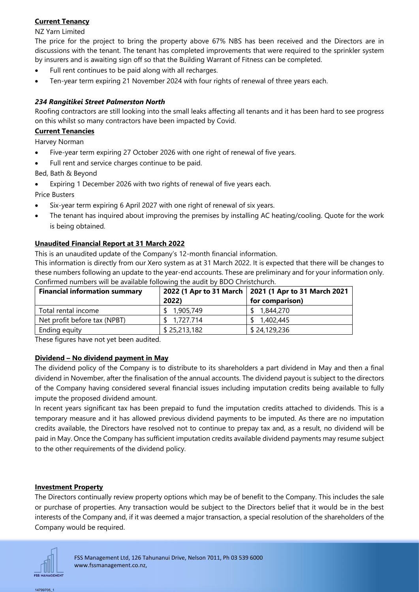# **Current Tenancy**

NZ Yarn Limited

The price for the project to bring the property above 67% NBS has been received and the Directors are in discussions with the tenant. The tenant has completed improvements that were required to the sprinkler system by insurers and is awaiting sign off so that the Building Warrant of Fitness can be completed.

- Full rent continues to be paid along with all recharges.
- Ten-year term expiring 21 November 2024 with four rights of renewal of three years each.

# *234 Rangitikei Street Palmerston North*

Roofing contractors are still looking into the small leaks affecting all tenants and it has been hard to see progress on this whilst so many contractors have been impacted by Covid.

## **Current Tenancies**

Harvey Norman

- Five-year term expiring 27 October 2026 with one right of renewal of five years.
- Full rent and service charges continue to be paid.

Bed, Bath & Beyond

• Expiring 1 December 2026 with two rights of renewal of five years each.

Price Busters

- Six-year term expiring 6 April 2027 with one right of renewal of six years.
- The tenant has inquired about improving the premises by installing AC heating/cooling. Quote for the work is being obtained.

# **Unaudited Financial Report at 31 March 2022**

This is an unaudited update of the Company's 12-month financial information.

This information is directly from our Xero system as at 31 March 2022. It is expected that there will be changes to these numbers following an update to the year-end accounts. These are preliminary and for your information only. Confirmed numbers will be available following the audit by BDO Christchurch.

| <b>Financial information summary</b> | 2022)        | 2022 (1 Apr to 31 March   2021 (1 Apr to 31 March 2021<br>for comparison) |
|--------------------------------------|--------------|---------------------------------------------------------------------------|
| Total rental income                  | 1,905,749    | 1,844,270                                                                 |
| Net profit before tax (NPBT)         | 1,727.714    | \$1,402,445                                                               |
| Ending equity                        | \$25,213,182 | \$24,129,236                                                              |

These figures have not yet been audited.

# **Dividend – No dividend payment in May**

The dividend policy of the Company is to distribute to its shareholders a part dividend in May and then a final dividend in November, after the finalisation of the annual accounts. The dividend payout is subject to the directors of the Company having considered several financial issues including imputation credits being available to fully impute the proposed dividend amount.

In recent years significant tax has been prepaid to fund the imputation credits attached to dividends. This is a temporary measure and it has allowed previous dividend payments to be imputed. As there are no imputation credits available, the Directors have resolved not to continue to prepay tax and, as a result, no dividend will be paid in May. Once the Company has sufficient imputation credits available dividend payments may resume subject to the other requirements of the dividend policy.

# **Investment Property**

The Directors continually review property options which may be of benefit to the Company. This includes the sale or purchase of properties. Any transaction would be subject to the Directors belief that it would be in the best interests of the Company and, if it was deemed a major transaction, a special resolution of the shareholders of the Company would be required.